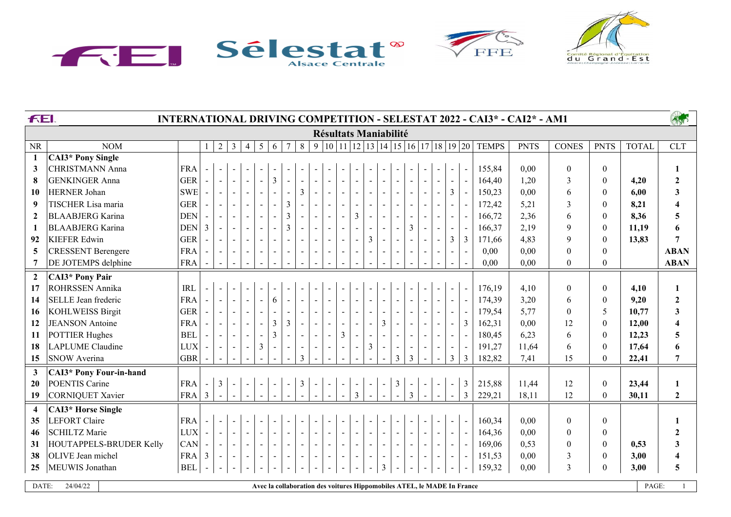

| <b>FEI.</b>             |                           |              |                |                           |                          |                |                          |                |                                  |                          |                                                                         |                          |                                                                                                                          |                          |                |   |                |                |                          |                |                |              | <b>INTERNATIONAL DRIVING COMPETITION - SELESTAT 2022 - CAI3* - CAI2* - AM1</b> |                  |                  |              | ASP                     |
|-------------------------|---------------------------|--------------|----------------|---------------------------|--------------------------|----------------|--------------------------|----------------|----------------------------------|--------------------------|-------------------------------------------------------------------------|--------------------------|--------------------------------------------------------------------------------------------------------------------------|--------------------------|----------------|---|----------------|----------------|--------------------------|----------------|----------------|--------------|--------------------------------------------------------------------------------|------------------|------------------|--------------|-------------------------|
|                         |                           |              |                |                           |                          |                |                          |                |                                  |                          | <b>Résultats Maniabilité</b>                                            |                          |                                                                                                                          |                          |                |   |                |                |                          |                |                |              |                                                                                |                  |                  |              |                         |
| <b>NR</b>               | <b>NOM</b>                |              | 1              | 2                         | $\mathfrak{Z}$           | $\overline{4}$ | $5\overline{)}$          | 6              | $7\phantom{.0}$<br>8             | 9                        |                                                                         |                          | $\vert$ 10 $\vert$ 11 $\vert$ 12 $\vert$ 13 $\vert$ 14 $\vert$ 15 $\vert$ 16 $\vert$ 17 $\vert$ 18 $\vert$ 19 $\vert$ 20 |                          |                |   |                |                |                          |                |                | <b>TEMPS</b> | <b>PNTS</b>                                                                    | <b>CONES</b>     | <b>PNTS</b>      | <b>TOTAL</b> | <b>CLT</b>              |
| $\mathbf{1}$            | <b>CAI3*</b> Pony Single  |              |                |                           |                          |                |                          |                |                                  |                          |                                                                         |                          |                                                                                                                          |                          |                |   |                |                |                          |                |                |              |                                                                                |                  |                  |              |                         |
| 3                       | <b>CHRISTMANN Anna</b>    | <b>FRA</b>   |                |                           |                          |                |                          |                |                                  |                          |                                                                         |                          |                                                                                                                          |                          |                |   |                |                |                          |                |                | 155,84       | 0,00                                                                           | $\boldsymbol{0}$ | $\boldsymbol{0}$ |              | 1                       |
| 8                       | <b>GENKINGER Anna</b>     | <b>GER</b>   |                | $\blacksquare$            |                          |                |                          | $\overline{3}$ | $\blacksquare$                   | $\overline{\phantom{a}}$ | $\blacksquare$                                                          | $\sim$                   | $\blacksquare$                                                                                                           |                          | $\blacksquare$ |   |                |                | $\blacksquare$           | $\blacksquare$ |                | 164,40       | 1,20                                                                           | 3                | $\overline{0}$   | 4,20         | $\boldsymbol{2}$        |
| 10                      | <b>HERNER Johan</b>       | <b>SWE</b>   |                | $\blacksquare$            |                          |                |                          |                | $\overline{3}$<br>$\sim$         | $\blacksquare$           | $\blacksquare$                                                          | $\blacksquare$           | $\blacksquare$                                                                                                           |                          |                |   | $\blacksquare$ | $\blacksquare$ | $\blacksquare$           | $\mathfrak{Z}$ |                | 150,23       | 0,00                                                                           | 6                | $\boldsymbol{0}$ | 6,00         | $\mathbf{3}$            |
| 9                       | TISCHER Lisa maria        | <b>GER</b>   |                |                           |                          |                |                          |                | $\overline{3}$                   | $\blacksquare$           | $\sim$                                                                  | $\blacksquare$           | $\blacksquare$                                                                                                           |                          |                |   |                |                |                          | $\blacksquare$ |                | 172,42       | 5,21                                                                           | 3                | $\boldsymbol{0}$ | 8,21         | $\overline{\mathbf{4}}$ |
| $\mathbf{2}$            | <b>BLAABJERG</b> Karina   | <b>DEN</b>   |                |                           | $\blacksquare$           |                | $\blacksquare$           | $\blacksquare$ | 3<br>$\sim$                      | $\sim$                   | $\blacksquare$                                                          | $\blacksquare$           | $\overline{3}$                                                                                                           |                          | $\sim$         |   | $\blacksquare$ |                | $\overline{\phantom{a}}$ | $\blacksquare$ |                | 166,72       | 2,36                                                                           | 6                | $\theta$         | 8,36         | $\overline{\mathbf{5}}$ |
| 1                       | <b>BLAABJERG</b> Karina   | <b>DEN</b>   | 3              | $\sim$                    | $\blacksquare$           |                |                          | $\sim$         | $\mathfrak{Z}$<br>$\sim$         | $\overline{\phantom{a}}$ | $\sim$                                                                  | $\overline{\phantom{a}}$ | $\sim$                                                                                                                   |                          | $\blacksquare$ |   | $\overline{3}$ |                | $\sim$                   | $\sim$         |                | 166,37       | 2,19                                                                           | 9                | $\mathbf{0}$     | 11,19        | 6                       |
| 92                      | <b>KIEFER Edwin</b>       | <b>GER</b>   |                |                           |                          |                |                          |                |                                  |                          |                                                                         |                          | $\overline{\phantom{a}}$                                                                                                 | 3                        |                |   |                |                |                          | 3              | 3              | 171,66       | 4,83                                                                           | 9                | $\overline{0}$   | 13,83        | 7                       |
| 5                       | <b>CRESSENT Berengere</b> | <b>FRA</b>   |                |                           |                          |                |                          |                |                                  |                          |                                                                         |                          | $\blacksquare$                                                                                                           |                          |                |   |                |                |                          |                |                | 0,00         | 0,00                                                                           | $\mathbf{0}$     | $\mathbf{0}$     |              | <b>ABAN</b>             |
| 7                       | DE JOTEMPS delphine       | <b>FRA</b>   |                | $\sim$                    | $\sim$                   |                |                          |                | $\sim$                           | $\blacksquare$           | $\sim$                                                                  | $\sim$                   | $\sim$                                                                                                                   | $\sim$                   |                |   |                |                |                          |                |                | 0,00         | 0,00                                                                           | $\boldsymbol{0}$ | $\boldsymbol{0}$ |              | <b>ABAN</b>             |
| $\overline{2}$          | CAI3* Pony Pair           |              |                |                           |                          |                |                          |                |                                  |                          |                                                                         |                          |                                                                                                                          |                          |                |   |                |                |                          |                |                |              |                                                                                |                  |                  |              |                         |
| 17                      | ROHRSSEN Annika           | <b>IRL</b>   |                |                           |                          |                |                          |                |                                  |                          |                                                                         |                          |                                                                                                                          |                          |                |   |                |                |                          |                |                | 176,19       | 4,10                                                                           | $\mathbf{0}$     | $\mathbf{0}$     | 4,10         | $\mathbf{1}$            |
| 14                      | SELLE Jean frederic       | <b>FRA</b>   |                |                           |                          |                |                          | 6              | $\blacksquare$                   |                          |                                                                         |                          |                                                                                                                          |                          |                |   |                |                |                          | $\blacksquare$ |                | 174,39       | 3,20                                                                           | 6                | $\theta$         | 9,20         | $\boldsymbol{2}$        |
| 16                      | <b>KOHLWEISS Birgit</b>   | <b>GER</b>   |                |                           |                          |                |                          |                |                                  |                          |                                                                         |                          |                                                                                                                          |                          |                |   |                |                |                          |                |                | 179,54       | 5,77                                                                           | $\mathbf{0}$     | 5                | 10,77        | $\mathbf{3}$            |
| 12                      | <b>JEANSON</b> Antoine    | <b>FRA</b>   |                | $\blacksquare$            | $\blacksquare$           | $\blacksquare$ | $\blacksquare$           | $\mathfrak{Z}$ | $\overline{3}$<br>$\blacksquare$ | $\blacksquare$           | $\blacksquare$                                                          | $\blacksquare$           | $\blacksquare$                                                                                                           |                          | $\overline{3}$ |   |                |                | $\blacksquare$           | $\blacksquare$ | 3              | 162,31       | 0,00                                                                           | 12               | $\mathbf{0}$     | 12,00        | $\overline{\mathbf{4}}$ |
| 11                      | <b>POTTIER Hughes</b>     | <b>BEL</b>   |                | $\sim$                    |                          |                | $\blacksquare$           | $\overline{3}$ | $\blacksquare$<br>$\sim$         | $\blacksquare$           | $\blacksquare$                                                          | $\mathfrak{Z}$           | $\blacksquare$                                                                                                           | $\overline{\phantom{a}}$ | $\blacksquare$ |   |                |                |                          | $\blacksquare$ |                | 180,45       | 6,23                                                                           | 6                | $\boldsymbol{0}$ | 12,23        | 5                       |
| 18                      | <b>LAPLUME</b> Claudine   | <b>LUX</b>   |                |                           |                          |                | $\mathfrak{Z}$           |                |                                  |                          |                                                                         |                          | $\overline{\phantom{a}}$                                                                                                 | $\mathfrak{Z}$           |                |   |                |                |                          | $\blacksquare$ |                | 191,27       | 11,64                                                                          | 6                | $\mathbf{0}$     | 17,64        | 6                       |
| 15                      | <b>SNOW</b> Averina       | <b>GBR</b>   |                |                           |                          |                |                          |                | $\overline{3}$                   |                          |                                                                         |                          |                                                                                                                          |                          |                | 3 | 3              |                |                          | 3              | 3              | 182,82       | 7,41                                                                           | 15               | $\overline{0}$   | 22,41        | $\overline{7}$          |
| $\mathbf{3}$            | CAI3* Pony Four-in-hand   |              |                |                           |                          |                |                          |                |                                  |                          |                                                                         |                          |                                                                                                                          |                          |                |   |                |                |                          |                |                |              |                                                                                |                  |                  |              |                         |
| 20                      | <b>POENTIS Carine</b>     | <b>FRA</b>   | $\blacksquare$ | $\mathfrak{Z}$            |                          |                |                          |                | 3                                |                          |                                                                         |                          |                                                                                                                          |                          |                | 3 |                |                |                          |                | 3              | 215,88       | 11,44                                                                          | 12               | $\boldsymbol{0}$ | 23,44        | $\mathbf{1}$            |
| 19                      | CORNIQUET Xavier          | <b>FRA</b>   | $\overline{3}$ | $\mathbb{Z}^{\mathbb{Z}}$ | $\sim$                   |                |                          |                | $\sim$                           | $\mathbf{r}$             | $\sim$                                                                  | $\omega$                 | $\overline{3}$                                                                                                           |                          |                |   | $\overline{3}$ |                |                          |                | $\overline{3}$ | 229,21       | 18,11                                                                          | 12               | $\boldsymbol{0}$ | 30,11        | $\overline{2}$          |
| $\overline{\mathbf{4}}$ | <b>CAI3*</b> Horse Single |              |                |                           |                          |                |                          |                |                                  |                          |                                                                         |                          |                                                                                                                          |                          |                |   |                |                |                          |                |                |              |                                                                                |                  |                  |              |                         |
| 35                      | <b>LEFORT Claire</b>      | <b>FRA</b>   |                |                           |                          |                |                          |                |                                  |                          |                                                                         |                          |                                                                                                                          |                          |                |   |                |                |                          |                |                | 160,34       | 0,00                                                                           | $\mathbf{0}$     | $\mathbf{0}$     |              | $\mathbf{1}$            |
| 46                      | <b>SCHILTZ Marie</b>      | $_{\rm LUX}$ |                |                           |                          |                |                          |                |                                  |                          |                                                                         |                          |                                                                                                                          |                          |                |   |                |                |                          | $\mathbb{Z}^2$ |                | 164,36       | 0,00                                                                           | $\theta$         | $\boldsymbol{0}$ |              | $\boldsymbol{2}$        |
| 31                      | HOUTAPPELS-BRUDER Kelly   | CAN          |                | $\blacksquare$            |                          |                |                          |                |                                  |                          | $\blacksquare$                                                          |                          |                                                                                                                          |                          |                |   |                |                |                          |                |                | 169,06       | 0,53                                                                           | $\boldsymbol{0}$ | $\mathbf{0}$     | 0,53         | $\mathbf{3}$            |
| 38                      | OLIVE Jean michel         | <b>FRA</b>   | $\overline{3}$ | $\sim$                    |                          |                | $\blacksquare$           | $\blacksquare$ | $\sim$<br>$\sim$                 | $\blacksquare$           | $\blacksquare$                                                          | $\blacksquare$           | $\sim$                                                                                                                   |                          | $\blacksquare$ |   |                |                | $\blacksquare$           |                |                | 151,53       | 0,00                                                                           | $\mathfrak{Z}$   | $\mathbf{0}$     | 3,00         | $\overline{\mathbf{4}}$ |
| 25                      | MEUWIS Jonathan           | <b>BEL</b>   |                |                           | $\overline{\phantom{a}}$ |                | $\overline{\phantom{a}}$ | $\blacksquare$ | $\sim$<br>$\blacksquare$         | $\blacksquare$           | $\blacksquare$                                                          | $\sim$                   | $\blacksquare$                                                                                                           | $\blacksquare$           | $\mathfrak{Z}$ |   |                |                |                          |                |                | 159,32       | 0,00                                                                           | $\overline{3}$   | $\boldsymbol{0}$ | 3,00         | 5                       |
| DATE:                   | 24/04/22                  |              |                |                           |                          |                |                          |                |                                  |                          | Avec la collaboration des voitures Hippomobiles ATEL, le MADE In France |                          |                                                                                                                          |                          |                |   |                |                |                          |                |                |              |                                                                                |                  |                  | PAGE:        | $\mathbf{1}$            |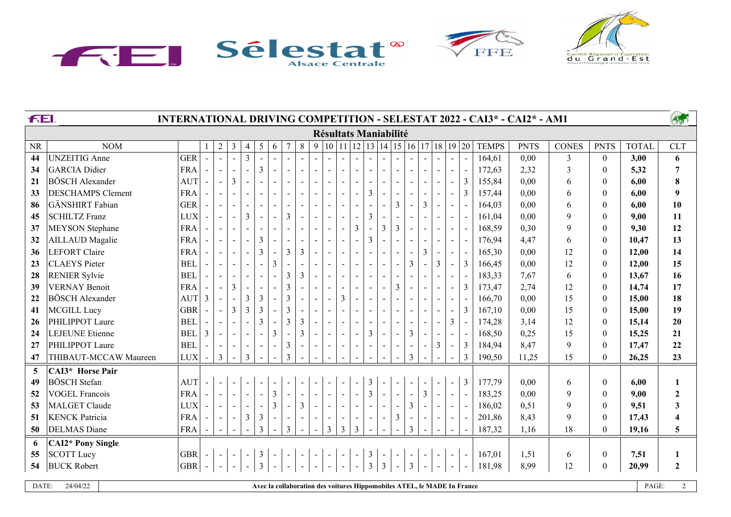

| FEI.<br>INTERNATIONAL DRIVING COMPETITION - SELESTAT 2022 - CAI3* - CAI2* - AM1<br><b>Résultats Maniabilité</b> |                          |            |                |                |                          |                |                |                          |                |                      |              |                |                | ASP            |                                        |                          |                                         |                |                          |                          |                          |                                                      |              |             |              |                  |              |                         |
|-----------------------------------------------------------------------------------------------------------------|--------------------------|------------|----------------|----------------|--------------------------|----------------|----------------|--------------------------|----------------|----------------------|--------------|----------------|----------------|----------------|----------------------------------------|--------------------------|-----------------------------------------|----------------|--------------------------|--------------------------|--------------------------|------------------------------------------------------|--------------|-------------|--------------|------------------|--------------|-------------------------|
|                                                                                                                 |                          |            |                |                |                          |                |                |                          |                |                      |              |                |                |                |                                        |                          |                                         |                |                          |                          |                          |                                                      |              |             |              |                  |              |                         |
| <b>NR</b>                                                                                                       | <b>NOM</b>               |            |                | $\overline{2}$ | 3                        | 4              | 5              | 6                        | 7              | 8                    | 9            |                |                |                |                                        |                          |                                         |                |                          |                          |                          | 10   11   12   13   14   15   16   17   18   19   20 | <b>TEMPS</b> | <b>PNTS</b> | <b>CONES</b> | <b>PNTS</b>      | <b>TOTAL</b> | <b>CLT</b>              |
| 44                                                                                                              | <b>UNZEITIG Anne</b>     | <b>GER</b> |                | $\mathcal{L}$  | $\sim$                   | $\overline{3}$ |                |                          |                | $\overline{a}$       |              |                |                |                |                                        |                          |                                         | $\mathbf{r}$   | $\overline{\phantom{a}}$ | $\blacksquare$           | $\mathbb{L}$             |                                                      | 164,61       | 0,00        | 3            | $\mathbf{0}$     | 3,00         | 6                       |
| 34                                                                                                              | <b>GARCIA</b> Didier     | <b>FRA</b> | $\sim$         | $\blacksquare$ | $\sim$                   | $\sim$         | 3              | $\sim$                   | $\overline{a}$ | $\mathbf{r}$         |              |                |                |                |                                        |                          |                                         | $\sim$         | $\sim$                   | $\sim$                   | $\sim$                   |                                                      | 172,63       | 2,32        | 3            | $\mathbf{0}$     | 5,32         | $\overline{7}$          |
| 21                                                                                                              | <b>BÖSCH</b> Alexander   | <b>AUT</b> |                | $\blacksquare$ | 3                        | $\blacksquare$ |                |                          |                |                      |              |                |                |                |                                        |                          |                                         |                |                          |                          | $\blacksquare$           | 3                                                    | 155,84       | 0,00        | 6            | $\theta$         | 6,00         | 8                       |
| 33                                                                                                              | <b>DESCHAMPS Clement</b> | <b>FRA</b> |                | $\sim$         |                          |                |                |                          |                |                      |              |                |                |                | 3                                      |                          |                                         |                |                          |                          | $\blacksquare$           | 3                                                    | 157,44       | 0,00        | 6            | $\Omega$         | 6,00         | 9                       |
| 86                                                                                                              | GÄNSHIRT Fabian          | <b>GER</b> |                | $\sim$         | $\blacksquare$           | $\sim$         |                |                          |                |                      |              |                |                |                |                                        |                          | 3                                       | $\sim$         | 3                        | $\sim$                   | $\sim$                   |                                                      | 164,03       | 0,00        | 6            | $\theta$         | 6,00         | 10                      |
| 45                                                                                                              | <b>SCHILTZ Franz</b>     | <b>LUX</b> |                | $\sim$         | $\sim$                   | $\overline{3}$ |                | $\mathbf{r}$             | $\overline{3}$ |                      |              |                |                |                | $\overline{3}$                         |                          |                                         | $\sim$         | $\sim$                   | $\sim$                   | $\blacksquare$           |                                                      | 161,04       | 0,00        | 9            | $\Omega$         | 9,00         | 11                      |
| 37                                                                                                              | <b>MEYSON</b> Stephane   | <b>FRA</b> |                | $\sim$         | $\sim$                   |                |                |                          |                | $\blacksquare$       |              |                |                | 3              | $\overline{\phantom{a}}$               | 3                        | 3                                       |                | $\overline{\phantom{a}}$ | $\sim$                   | $\blacksquare$           |                                                      | 168,59       | 0,30        | 9            | $\theta$         | 9,30         | 12                      |
| 32                                                                                                              | <b>AILLAUD</b> Magalie   | <b>FRA</b> | $\sim$         | $\blacksquare$ | $\overline{\phantom{a}}$ | $\blacksquare$ | 3              |                          | $\blacksquare$ |                      |              |                |                |                | 3                                      |                          |                                         |                |                          |                          | $\blacksquare$           |                                                      | 176,94       | 4,47        | 6            | $\theta$         | 10,47        | 13                      |
| 36                                                                                                              | <b>LEFORT</b> Claire     | <b>FRA</b> |                | $\sim$         | $\blacksquare$           | $\sim$         | $\overline{3}$ | $\sim$                   | $\overline{3}$ | $\mathfrak{Z}$       | $\sim$       | $\sim$         |                |                |                                        |                          |                                         | $\sim$         | 3                        | $\overline{\phantom{a}}$ | $\sim$                   |                                                      | 165,30       | 0,00        | 12           | $\theta$         | 12,00        | 14                      |
| 23                                                                                                              | <b>CLAEYS</b> Pieter     | <b>BEL</b> |                | $\sim$         | $\blacksquare$           | $\sim$         |                | $\overline{3}$           |                | $\sim$               |              |                |                |                |                                        |                          |                                         | $\overline{3}$ | $\blacksquare$           | 3                        | $\sim$                   | 3                                                    | 166,45       | 0,00        | 12           | $\Omega$         | 12,00        | 15                      |
| 28                                                                                                              | <b>RENIER Sylvie</b>     | <b>BEL</b> |                | $\blacksquare$ | $\blacksquare$           | $\blacksquare$ |                |                          | 3              | $\overline{3}$       |              |                |                |                |                                        |                          |                                         |                | $\blacksquare$           |                          | $\blacksquare$           |                                                      | 183,33       | 7,67        | 6            | $\theta$         | 13,67        | 16                      |
| 39                                                                                                              | <b>VERNAY Benoit</b>     | <b>FRA</b> |                | $\blacksquare$ | 3                        | $\blacksquare$ |                | $\blacksquare$           | $\overline{3}$ |                      |              |                |                |                |                                        |                          | 3                                       |                |                          |                          | $\blacksquare$           | $\mathfrak{Z}$                                       | 173,47       | 2,74        | 12           | $\Omega$         | 14,74        | 17                      |
| 22                                                                                                              | <b>BÖSCH</b> Alexander   | <b>AUT</b> | 3              | $\blacksquare$ | $\sim$                   | $\mathfrak{Z}$ | $\overline{3}$ | $\blacksquare$           | $\overline{3}$ | $\mathbf{r}$         |              |                | 3              |                |                                        |                          |                                         |                |                          | $\sim$                   | $\blacksquare$           |                                                      | 166,70       | 0,00        | 15           | $\mathbf{0}$     | 15,00        | 18                      |
| 41                                                                                                              | <b>MCGILL Lucy</b>       | <b>GBR</b> |                | $\blacksquare$ | $\overline{3}$           | $\overline{3}$ | $\overline{3}$ | $\overline{\phantom{a}}$ | $\overline{3}$ |                      |              |                |                |                |                                        |                          |                                         |                |                          |                          | $\blacksquare$           | 3                                                    | 167,10       | 0,00        | 15           | $\Omega$         | 15,00        | 19                      |
| 26                                                                                                              | PHILIPPOT Laure          | <b>BEL</b> |                | $\blacksquare$ |                          | $\overline{a}$ | $\overline{3}$ |                          | $\overline{3}$ | $\mathfrak{Z}$       |              |                |                |                |                                        |                          |                                         |                |                          |                          | 3                        |                                                      | 174,28       | 3,14        | 12           | $\theta$         | 15,14        | 20                      |
| 24                                                                                                              | <b>LEJEUNE</b> Etienne   | <b>BEL</b> | 3              | $\blacksquare$ | $\blacksquare$           | $\sim$         |                | $\overline{3}$           |                | $\overline{3}$       |              |                |                |                | 3                                      |                          |                                         | $\overline{3}$ |                          |                          | $\sim$                   |                                                      | 168,50       | 0,25        | 15           | $\theta$         | 15,25        | 21                      |
| 27                                                                                                              | PHILIPPOT Laure          | <b>BEL</b> |                | $\sim$         |                          |                |                |                          | $\overline{3}$ |                      |              |                |                |                |                                        |                          |                                         |                |                          | 3                        | $\sim$                   | $\overline{3}$                                       | 184,94       | 8,47        | 9            | $\Omega$         | 17,47        | 22                      |
| 47                                                                                                              | THIBAUT-MCCAW Maureen    | <b>LUX</b> |                | $\mathfrak{Z}$ | $\blacksquare$           | $\mathfrak{Z}$ |                |                          | $\overline{3}$ |                      |              |                |                |                |                                        |                          |                                         | $\overline{3}$ |                          |                          |                          | $\mathfrak{Z}$                                       | 190,50       | 11,25       | 15           | $\mathbf{0}$     | 26,25        | 23                      |
| 5                                                                                                               | CAI3* Horse Pair         |            |                |                |                          |                |                |                          |                |                      |              |                |                |                |                                        |                          |                                         |                |                          |                          |                          |                                                      |              |             |              |                  |              |                         |
| 49                                                                                                              | <b>BÖSCH</b> Stefan      | <b>AUT</b> | $\blacksquare$ |                |                          |                |                |                          |                |                      |              |                |                |                | $\mathfrak{Z}$                         |                          |                                         |                |                          |                          | $\blacksquare$           | $\mathfrak{Z}$                                       | 177,79       | 0,00        | 6            | $\theta$         | 6,00         | $\mathbf{1}$            |
| 52                                                                                                              | <b>VOGEL Francois</b>    | <b>FRA</b> | $\sim$         | $\blacksquare$ |                          |                |                | $\overline{3}$           |                |                      |              |                |                |                | $\overline{3}$                         |                          |                                         |                | $\overline{3}$           |                          | $\sim$                   |                                                      | 183,25       | 0,00        | 9            | $\theta$         | 9,00         | $\mathbf{2}$            |
| 53                                                                                                              | <b>MALGET</b> Claude     | <b>LUX</b> |                | $\blacksquare$ |                          |                |                | $\overline{3}$           |                | $\overline{3}$       |              |                |                |                |                                        |                          |                                         | $\overline{3}$ | $\sim$                   | $\blacksquare$           | $\mathbb{Z}^2$           |                                                      | 186,02       | 0,51        | 9            | $\Omega$         | 9,51         | 3                       |
| 51                                                                                                              | <b>KENCK Patricia</b>    | <b>FRA</b> |                | $\blacksquare$ | $\blacksquare$           | $\mathfrak{Z}$ | 3              |                          |                |                      |              |                |                |                |                                        | $\overline{\phantom{a}}$ | 3                                       | $\blacksquare$ | $\blacksquare$           | $\blacksquare$           | $\blacksquare$           |                                                      | 201,86       | 8,43        | 9            | $\mathbf{0}$     | 17,43        | $\overline{\mathbf{4}}$ |
| 50                                                                                                              | <b>DELMAS</b> Diane      | <b>FRA</b> |                | $\sim$         | $\sim$                   |                | 3              |                          | 3              |                      |              | $\overline{3}$ | $\mathfrak{Z}$ | $\overline{3}$ |                                        |                          | $\blacksquare$                          | $\mathfrak{Z}$ | $\sim$                   |                          | $\sim$                   |                                                      | 187,32       | 1,16        | 18           | $\theta$         | 19,16        | 5                       |
| 6                                                                                                               | <b>CAI2*</b> Pony Single |            |                |                |                          |                |                |                          |                |                      |              |                |                |                |                                        |                          |                                         |                |                          |                          |                          |                                                      |              |             |              |                  |              |                         |
| 55                                                                                                              | SCOTT Lucy               | GBR        | $\sim$         |                |                          |                |                |                          |                |                      |              |                |                |                |                                        |                          |                                         |                | $\overline{\phantom{a}}$ |                          | $\sim$                   | $\sim$                                               | 167,01       | 1,51        | 6            | $\boldsymbol{0}$ | 7,51         | $\mathbf{1}$            |
| 54                                                                                                              | <b>BUCK Robert</b>       | GBR        |                | $\mathbb{Z}$   | $\mathbb{L}$             | $\overline{a}$ | $\frac{3}{3}$  | $\overline{a}$           | $\frac{1}{2}$  | $\frac{1}{\sqrt{2}}$ | $\mathbb{R}$ |                |                |                | $\begin{bmatrix} 3 \\ 3 \end{bmatrix}$ | $\frac{1}{3}$            | $\begin{bmatrix} 1 \\ -1 \end{bmatrix}$ | $\frac{1}{3}$  | $\mathbb{Z}^2$           | $\mathbb{L}$             | $\overline{\phantom{a}}$ |                                                      | 181,98       | 8,99        | 12           | $\mathbf{0}$     | 20,99        | $\mathbf{2}$            |
|                                                                                                                 |                          |            |                |                |                          |                |                |                          |                |                      |              |                |                |                |                                        |                          |                                         |                |                          |                          |                          |                                                      |              |             |              |                  |              |                         |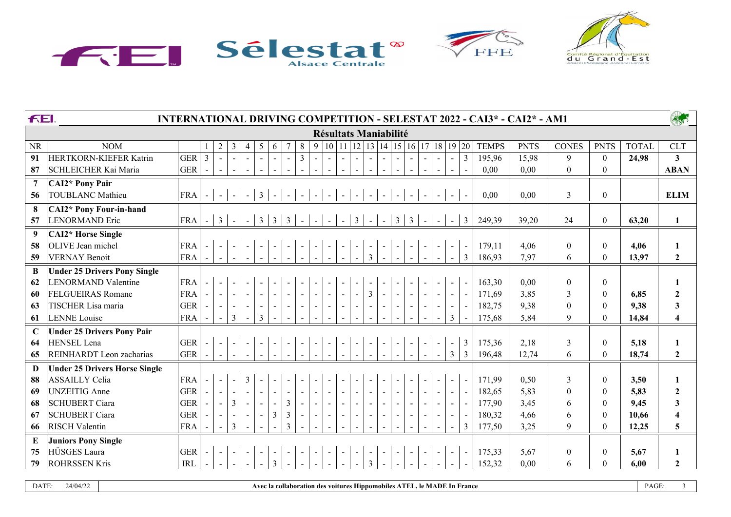

|                | ASP<br>FEI.<br>INTERNATIONAL DRIVING COMPETITION - SELESTAT 2022 - CAI3* - CAI2* - AM1<br><b>Résultats Maniabilité</b><br>9   10   11   12   13   14   15   16   17   18   19   20 |            |                |                |                |                |                          |                |                |                          |                                            |                |                          |                |                |                |                          |                          |                |                |              |             |                  |                  |              |                         |
|----------------|------------------------------------------------------------------------------------------------------------------------------------------------------------------------------------|------------|----------------|----------------|----------------|----------------|--------------------------|----------------|----------------|--------------------------|--------------------------------------------|----------------|--------------------------|----------------|----------------|----------------|--------------------------|--------------------------|----------------|----------------|--------------|-------------|------------------|------------------|--------------|-------------------------|
|                |                                                                                                                                                                                    |            |                |                |                |                |                          |                |                |                          |                                            |                |                          |                |                |                |                          |                          |                |                |              |             |                  |                  |              |                         |
| <b>NR</b>      | <b>NOM</b>                                                                                                                                                                         |            | $\mathbf{1}$   | 2              | $\overline{3}$ | 4              | 5                        | 6              |                | $8\,$                    |                                            |                |                          |                |                |                |                          |                          |                |                | <b>TEMPS</b> | <b>PNTS</b> | <b>CONES</b>     | <b>PNTS</b>      | <b>TOTAL</b> | <b>CLT</b>              |
| 91             | HERTKORN-KIEFER Katrin                                                                                                                                                             | <b>GER</b> | $\overline{3}$ |                |                |                |                          |                |                | $\overline{3}$           | $\sim$                                     |                |                          |                |                |                |                          |                          | $\blacksquare$ | $\overline{3}$ | 195,96       | 15,98       | 9                | $\boldsymbol{0}$ | 24,98        | $\mathbf{3}$            |
| 87             | SCHLEICHER Kai Maria                                                                                                                                                               | <b>GER</b> |                | $\sim$         | $\sim$         | $\sim$         | $\sim$                   | $\sim$         | $\sim$         |                          |                                            |                |                          |                |                |                |                          |                          |                |                | 0,00         | 0,00        | $\mathbf{0}$     | $\boldsymbol{0}$ |              | <b>ABAN</b>             |
| $\overline{7}$ | <b>CAI2*</b> Pony Pair                                                                                                                                                             |            |                |                |                |                |                          |                |                |                          |                                            |                |                          |                |                |                |                          |                          |                |                |              |             |                  |                  |              |                         |
| 56             | <b>TOUBLANC Mathieu</b>                                                                                                                                                            | <b>FRA</b> | $\sim$         | $\sim$         | $\sim$         | $\sim$         | $\mathbf{3}$             | $\sim$         | $\sim$         | $\sim$                   | $\blacksquare$                             | $\sim$         | $\overline{\phantom{a}}$ | $\blacksquare$ | $\sim$         | $\sim$         | $\overline{\phantom{a}}$ | $\overline{\phantom{a}}$ | $\sim$ 1       |                | 0,00         | 0.00        | $\mathfrak{Z}$   | $\boldsymbol{0}$ |              | <b>ELIM</b>             |
| 8              | <b>CAI2*</b> Pony Four-in-hand                                                                                                                                                     |            |                |                |                |                |                          |                |                |                          |                                            |                |                          |                |                |                |                          |                          |                |                |              |             |                  |                  |              |                         |
| 57             | <b>LENORMAND</b> Eric                                                                                                                                                              | <b>FRA</b> | $\blacksquare$ | $\mathfrak{Z}$ | $\sim$         | $\blacksquare$ | $\mathfrak{Z}$           | $\overline{3}$ | $\mathbf{3}$   | $\sim$                   | $\sim$                                     |                | 3                        | $\blacksquare$ |                | $\mathbf{3}$   | 3                        |                          |                | $\mathfrak{Z}$ | 249,39       | 39,20       | 24               | $\boldsymbol{0}$ | 63,20        | $\mathbf{1}$            |
| 9              | <b>CAI2*</b> Horse Single                                                                                                                                                          |            |                |                |                |                |                          |                |                |                          |                                            |                |                          |                |                |                |                          |                          |                |                |              |             |                  |                  |              |                         |
| 58             | OLIVE Jean michel                                                                                                                                                                  | <b>FRA</b> | $\blacksquare$ | $\blacksquare$ |                |                | $\overline{\phantom{a}}$ |                |                |                          | $\blacksquare$<br>$\overline{\phantom{a}}$ | $\blacksquare$ | $\blacksquare$           | $\blacksquare$ | $\sim$         | $\blacksquare$ | $\blacksquare$           |                          |                |                | 179,11       | 4,06        | $\boldsymbol{0}$ | $\mathbf{0}$     | 4,06         | $\mathbf{1}$            |
| 59             | <b>VERNAY Benoit</b>                                                                                                                                                               | <b>FRA</b> |                | $\blacksquare$ | $\sim$         | $\mathbf{r}$   | $\sim$                   |                |                |                          |                                            |                |                          | $\overline{3}$ |                |                |                          |                          |                | $\overline{3}$ | 186,93       | 7,97        | 6                | $\overline{0}$   | 13,97        | $\overline{2}$          |
| B              | <b>Under 25 Drivers Pony Single</b>                                                                                                                                                |            |                |                |                |                |                          |                |                |                          |                                            |                |                          |                |                |                |                          |                          |                |                |              |             |                  |                  |              |                         |
| 62             | <b>LENORMAND Valentine</b>                                                                                                                                                         | <b>FRA</b> |                |                |                |                |                          |                |                |                          |                                            |                |                          |                |                |                |                          |                          |                |                | 163,30       | 0.00        | $\mathbf{0}$     | $\theta$         |              | 1                       |
| 60             | <b>FELGUEIRAS Romane</b>                                                                                                                                                           | <b>FRA</b> |                | $\sim$         |                | $\mathbb{Z}^2$ |                          |                |                |                          |                                            |                | $\blacksquare$           | $\overline{3}$ | $\blacksquare$ |                |                          |                          |                |                | 171,69       | 3,85        | $\mathfrak{Z}$   | $\overline{0}$   | 6,85         | $\boldsymbol{2}$        |
| 63             | TISCHER Lisa maria                                                                                                                                                                 | <b>GER</b> |                |                |                |                |                          |                |                |                          |                                            |                |                          |                |                |                |                          |                          |                |                | 182,75       | 9,38        | $\mathbf{0}$     | $\mathbf{0}$     | 9,38         | $\mathbf{3}$            |
| 61             | <b>LENNE</b> Louise                                                                                                                                                                | <b>FRA</b> |                | $\sim$         | $\mathfrak{Z}$ | $\sim$         | $\mathfrak{Z}$           | $\sim$         |                |                          |                                            |                |                          |                |                |                |                          |                          | 3              |                | 175,68       | 5,84        | 9                | $\overline{0}$   | 14,84        | $\overline{\mathbf{4}}$ |
| $\mathbf C$    | <b>Under 25 Drivers Pony Pair</b>                                                                                                                                                  |            |                |                |                |                |                          |                |                |                          |                                            |                |                          |                |                |                |                          |                          |                |                |              |             |                  |                  |              |                         |
| 64             | HENSEL Lena                                                                                                                                                                        | <b>GER</b> |                |                |                |                |                          |                |                |                          |                                            |                |                          |                |                |                |                          |                          |                | 3              | 175,36       | 2,18        | $\mathfrak{Z}$   | $\mathbf{0}$     | 5,18         | $\mathbf{1}$            |
| 65             | REINHARDT Leon zacharias                                                                                                                                                           | <b>GER</b> | $\sim$         | $\sim$         | $\sim$         | $\mathbb{Z}^2$ | $\sim$                   | $\sim$         | $\sim$         |                          | $\sim$                                     |                |                          | $\sim$         |                | $\mathbf{r}$   |                          | $\sim$                   | $\overline{3}$ | $\overline{3}$ | 196,48       | 12,74       | 6                | $\mathbf{0}$     | 18,74        | $\overline{2}$          |
| D              | <b>Under 25 Drivers Horse Single</b>                                                                                                                                               |            |                |                |                |                |                          |                |                |                          |                                            |                |                          |                |                |                |                          |                          |                |                |              |             |                  |                  |              |                         |
| 88             | <b>ASSAILLY Celia</b>                                                                                                                                                              | <b>FRA</b> |                |                |                | $\mathfrak{Z}$ |                          |                |                |                          |                                            |                |                          |                |                |                |                          |                          |                |                | 171,99       | 0,50        | $\mathfrak{Z}$   | $\overline{0}$   | 3,50         | $\mathbf{1}$            |
| 69             | <b>UNZEITIG</b> Anne                                                                                                                                                               | <b>GER</b> |                | $\sim$         |                |                |                          |                |                |                          |                                            |                |                          |                |                |                |                          |                          |                |                | 182,65       | 5,83        | $\mathbf{0}$     | $\overline{0}$   | 5,83         | $\overline{2}$          |
| 68             | <b>SCHUBERT</b> Ciara                                                                                                                                                              | <b>GER</b> | $\sim$         | $\blacksquare$ | $\overline{3}$ | $\blacksquare$ | $\sim$                   | $\sim$         | $\mathfrak{Z}$ | $\blacksquare$           | $\sim$<br>$\sim$                           | $\mathbf{r}$   | $\blacksquare$           | $\mathbf{r}$   | $\sim$         |                |                          |                          | $\blacksquare$ |                | 177,90       | 3,45        | 6                | $\mathbf{0}$     | 9,45         | $\mathbf{3}$            |
| 67             | <b>SCHUBERT Ciara</b>                                                                                                                                                              | <b>GER</b> |                | $\sim$         |                |                | $\sim$                   | $\mathfrak{Z}$ | $\mathfrak{Z}$ | $\overline{\phantom{a}}$ |                                            |                |                          |                | $\blacksquare$ |                |                          |                          |                |                | 180,32       | 4,66        | 6                | $\mathbf{0}$     | 10,66        | $\overline{\mathbf{4}}$ |
| 66             | <b>RISCH Valentin</b>                                                                                                                                                              | <b>FRA</b> |                | $\sim$         | $\mathfrak{Z}$ |                |                          | $\sim$         | $\mathfrak{Z}$ | $\sim$                   |                                            |                |                          |                |                |                |                          |                          |                | $\overline{3}$ | 177,50       | 3,25        | 9                | $\overline{0}$   | 12,25        | 5                       |
| $\bf{E}$       | <b>Juniors Pony Single</b>                                                                                                                                                         |            |                |                |                |                |                          |                |                |                          |                                            |                |                          |                |                |                |                          |                          |                |                |              |             |                  |                  |              |                         |
| 75             | HÜSGES Laura                                                                                                                                                                       | <b>GER</b> | $\sim$         | $\sim$         | $\sim$         |                | $\blacksquare$           |                |                |                          |                                            |                |                          |                |                |                |                          |                          |                |                | 175,33       | 5,67        | $\boldsymbol{0}$ | $\boldsymbol{0}$ | 5,67         | $\mathbf{1}$            |
| 79             | <b>ROHRSSEN Kris</b>                                                                                                                                                               | IRL        | $\sim$         | $\blacksquare$ | $\sim$         | $\mathbb{Z}^2$ | $\frac{1}{2}$            | $\overline{3}$ |                |                          |                                            |                |                          | $\overline{3}$ |                |                |                          |                          |                |                | 152,32       | 0.00        | 6                | $\theta$         | 6,00         | $\overline{2}$          |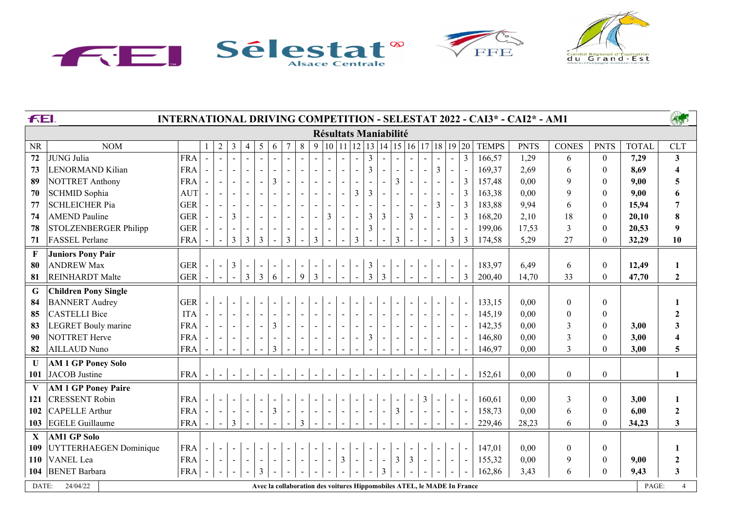

| <b>FEI</b>   |                              | <b>INTERNATIONAL DRIVING COMPETITION - SELESTAT 2022 - CAI3* - CAI2* - AM1</b> |                |                |                |                |                |                          |                          |                          |                |                |                |                                                                                                                              |                          |                |                |   |            |                |                |                |              |             |                  |                  |              | ANT                     |
|--------------|------------------------------|--------------------------------------------------------------------------------|----------------|----------------|----------------|----------------|----------------|--------------------------|--------------------------|--------------------------|----------------|----------------|----------------|------------------------------------------------------------------------------------------------------------------------------|--------------------------|----------------|----------------|---|------------|----------------|----------------|----------------|--------------|-------------|------------------|------------------|--------------|-------------------------|
|              |                              |                                                                                |                |                |                |                |                |                          |                          |                          |                |                |                | <b>Résultats Maniabilité</b>                                                                                                 |                          |                |                |   |            |                |                |                |              |             |                  |                  |              |                         |
| NR           | <b>NOM</b>                   |                                                                                | 1              | $\overline{2}$ | 3              | 4              | $\mathfrak{S}$ | 6                        | 7                        | $\,8\,$                  | 9              |                |                | $\left  10 \right  11 \left  12 \right  13 \left  14 \right  15 \left  16 \right  17 \left  18 \right  19 \left  20 \right $ |                          |                |                |   |            |                |                |                | <b>TEMPS</b> | <b>PNTS</b> | <b>CONES</b>     | <b>PNTS</b>      | <b>TOTAL</b> | <b>CLT</b>              |
| 72           | JUNG Julia                   | <b>FRA</b>                                                                     |                | $\mathcal{L}$  |                |                |                |                          |                          | $\sim$                   |                |                |                | $\blacksquare$                                                                                                               | $\mathfrak{Z}$           |                |                |   |            |                | $\overline{a}$ | $\mathfrak{Z}$ | 166,57       | 1,29        | 6                | $\theta$         | 7,29         | $\mathbf{3}$            |
| 73           | <b>LENORMAND Kilian</b>      | <b>FRA</b>                                                                     |                | $\sim$         |                | $\mathbf{u}$   | $\sim$         | $\blacksquare$           | $\blacksquare$           | $\blacksquare$           |                | $\sim$         |                | $\blacksquare$                                                                                                               | $\overline{3}$           | $\blacksquare$ |                |   |            | $\overline{3}$ |                |                | 169,37       | 2,69        | 6                | $\theta$         | 8,69         | $\overline{\mathbf{4}}$ |
| 89           | <b>NOTTRET Anthony</b>       | <b>FRA</b>                                                                     |                | $\sim$         |                | $\blacksquare$ | $\sim$         | $\mathfrak{Z}$           | $\blacksquare$           | $\sim$                   |                | $\blacksquare$ |                |                                                                                                                              |                          | $\blacksquare$ | 3              |   |            |                |                | 3              | 157,48       | 0.00        | 9                | $\theta$         | 9,00         | 5                       |
| 70           | <b>SCHMID Sophia</b>         | <b>AUT</b>                                                                     |                | $\blacksquare$ |                |                |                |                          |                          | $\overline{\phantom{a}}$ |                |                |                | $\mathfrak{Z}$                                                                                                               | $\mathfrak{Z}$           |                |                |   |            |                |                | 3              | 163,38       | 0,00        | 9                | $\boldsymbol{0}$ | 9,00         | 6                       |
| 77           | <b>SCHLEICHER Pia</b>        | <b>GER</b>                                                                     |                | $\sim$         |                |                |                |                          |                          |                          |                |                |                |                                                                                                                              |                          |                |                |   |            | 3              |                | $\mathfrak{Z}$ | 183,88       | 9,94        | 6                | $\mathbf{0}$     | 15,94        | $\overline{7}$          |
| 74           | AMEND Pauline                | <b>GER</b>                                                                     |                | $\blacksquare$ | $\mathfrak{Z}$ | $\blacksquare$ |                | $\overline{\phantom{a}}$ |                          | $\overline{\phantom{a}}$ |                | $\mathfrak{Z}$ |                |                                                                                                                              | $\mathfrak{Z}$           | $\overline{3}$ |                | 3 |            |                |                | 3              | 168,20       | 2,10        | 18               | $\theta$         | 20,10        | 8                       |
| 78           | <b>STOLZENBERGER Philipp</b> | <b>GER</b>                                                                     |                |                |                |                |                |                          | $\overline{\phantom{a}}$ | $\sim$                   |                | $\blacksquare$ |                | $\blacksquare$                                                                                                               | $\mathfrak{Z}$           |                |                |   |            |                |                |                | 199,06       | 17,53       | 3                | $\mathbf{0}$     | 20,53        | 9                       |
| 71           | FASSEL Perlane               | <b>FRA</b>                                                                     |                | $\sim$         | $\overline{3}$ | $\mathfrak{Z}$ | $\overline{3}$ | $\sim$                   | 3                        | $\blacksquare$           | 3              |                |                | $\overline{3}$                                                                                                               |                          | $\mathbf{r}$   | 3              |   |            |                | 3              | $\mathfrak{Z}$ | 174,58       | 5,29        | 27               | $\Omega$         | 32,29        | 10                      |
| F            | <b>Juniors Pony Pair</b>     |                                                                                |                |                |                |                |                |                          |                          |                          |                |                |                |                                                                                                                              |                          |                |                |   |            |                |                |                |              |             |                  |                  |              |                         |
| 80           | <b>ANDREW Max</b>            | <b>GER</b>                                                                     | $\blacksquare$ |                | $\mathfrak{Z}$ |                |                |                          |                          |                          |                |                |                |                                                                                                                              | 3                        |                |                |   |            |                |                |                | 183,97       | 6,49        | 6                | $\mathbf{0}$     | 12,49        | $\mathbf{1}$            |
| 81           | <b>REINHARDT</b> Malte       | <b>GER</b>                                                                     |                | $\mathbb{L}^2$ | $\overline{a}$ | $\overline{3}$ | $\overline{3}$ | $6\,$                    | $\mathbb{Z}^2$           | 9                        | $\overline{3}$ |                |                |                                                                                                                              | $\overline{3}$           | $\overline{3}$ |                |   |            |                |                | $\overline{3}$ | 200,40       | 14,70       | 33               | $\mathbf{0}$     | 47,70        | $\mathbf{2}$            |
| $\mathbf G$  | <b>Children Pony Single</b>  |                                                                                |                |                |                |                |                |                          |                          |                          |                |                |                |                                                                                                                              |                          |                |                |   |            |                |                |                |              |             |                  |                  |              |                         |
| 84           | <b>BANNERT</b> Audrey        | GER                                                                            |                | $\sim$         |                |                |                |                          |                          |                          |                |                |                |                                                                                                                              |                          |                |                |   |            |                |                |                | 133,15       | 0,00        | $\boldsymbol{0}$ | $\theta$         |              | 1                       |
| 85           | <b>CASTELLI Bice</b>         | <b>ITA</b>                                                                     |                | $\sim$         |                |                |                |                          |                          |                          |                |                |                |                                                                                                                              |                          |                |                |   |            |                |                |                | 145,19       | 0.00        | $\mathbf{0}$     | $\boldsymbol{0}$ |              | $\boldsymbol{2}$        |
| 83           | <b>LEGRET</b> Bouly marine   | <b>FRA</b>                                                                     |                | $\blacksquare$ | $\sim$         | $\blacksquare$ | $\blacksquare$ | $\mathfrak{Z}$           |                          | $\blacksquare$           |                |                |                |                                                                                                                              |                          |                |                |   |            |                |                |                | 142,35       | 0,00        | $\overline{3}$   | $\boldsymbol{0}$ | 3,00         | $\overline{\mathbf{3}}$ |
| 90           | <b>NOTTRET Herve</b>         | <b>FRA</b>                                                                     |                | $\sim$         |                |                |                |                          |                          |                          |                |                |                |                                                                                                                              | 3                        |                |                |   |            |                |                |                | 146,80       | 0,00        | $\overline{3}$   | $\mathbf{0}$     | 3,00         | $\overline{\mathbf{4}}$ |
| 82           | AILLAUD Nuno                 | <b>FRA</b>                                                                     |                | $\sim$         |                |                | $\blacksquare$ | $\overline{3}$           |                          | $\overline{\phantom{a}}$ |                |                |                |                                                                                                                              |                          |                |                |   |            |                |                |                | 146,97       | 0,00        | $\overline{3}$   | $\mathbf{0}$     | 3,00         | 5                       |
| $\mathbf{U}$ | <b>AM 1 GP Poney Solo</b>    |                                                                                |                |                |                |                |                |                          |                          |                          |                |                |                |                                                                                                                              |                          |                |                |   |            |                |                |                |              |             |                  |                  |              |                         |
| 101          | JACOB Justine                | <b>FRA</b>                                                                     | $\sim$         | $\sim$         | $\sim$         | $\sim$         | $\sim$         | $\sim$                   | $\sim$                   | $\sim$                   | $\sim$         | $\sim$         | $\blacksquare$ |                                                                                                                              | $\blacksquare$           | $\blacksquare$ | $\blacksquare$ |   | $\sim$ $-$ | $\sim$ $^{-1}$ | $\sim$         |                | 152,61       | 0,00        | $\mathbf{0}$     | $\mathbf{0}$     |              | $\mathbf{1}$            |
| V            | <b>AM 1 GP Poney Paire</b>   |                                                                                |                |                |                |                |                |                          |                          |                          |                |                |                |                                                                                                                              |                          |                |                |   |            |                |                |                |              |             |                  |                  |              |                         |
| 121          | <b>CRESSENT Robin</b>        | <b>FRA</b>                                                                     |                | $\blacksquare$ |                |                |                |                          |                          |                          |                |                |                |                                                                                                                              |                          |                |                |   | 3          |                |                |                | 160,61       | 0,00        | $\mathfrak{Z}$   | $\boldsymbol{0}$ | 3,00         | 1                       |
| 102          | CAPELLE Arthur               | <b>FRA</b>                                                                     | $\sim$         | $\blacksquare$ | $\sim$         | $\sim$         |                | $\mathfrak{Z}$           |                          | $\blacksquare$           |                |                |                |                                                                                                                              |                          | $\blacksquare$ | $\mathfrak{Z}$ |   |            |                |                |                | 158,73       | 0,00        | 6                | $\boldsymbol{0}$ | 6,00         | $\boldsymbol{2}$        |
| 103          | <b>EGELE Guillaume</b>       | <b>FRA</b>                                                                     |                | $\sim$         | $\mathfrak{Z}$ | $\sim$         | $\sim$         | $\mathbf{r}$             | $\sim$                   | $\overline{3}$           |                |                |                |                                                                                                                              |                          |                |                |   |            |                |                |                | 229,46       | 28,23       | 6                | $\mathbf{0}$     | 34,23        | $\overline{\mathbf{3}}$ |
| $\mathbf{X}$ | <b>AM1 GP Solo</b>           |                                                                                |                |                |                |                |                |                          |                          |                          |                |                |                |                                                                                                                              |                          |                |                |   |            |                |                |                |              |             |                  |                  |              |                         |
| 109          | UYTTERHAEGEN Dominique       | <b>FRA</b>                                                                     | $\blacksquare$ |                |                |                |                |                          |                          |                          |                |                |                |                                                                                                                              |                          |                |                |   |            |                |                |                | 147,01       | 0,00        | $\boldsymbol{0}$ | $\boldsymbol{0}$ |              | $\mathbf{1}$            |
| 110          | <b>VANEL</b> Lea             | <b>FRA</b>                                                                     |                | $\blacksquare$ |                |                |                |                          |                          |                          |                |                | $\overline{3}$ |                                                                                                                              |                          |                | $\mathfrak{Z}$ | 3 |            |                |                |                | 155,32       | 0,00        | 9                | $\boldsymbol{0}$ | 9,00         | $\mathbf{2}$            |
|              | 104 BENET Barbara            | <b>FRA</b>                                                                     | $\sim$         | $\blacksquare$ | $\blacksquare$ | $\blacksquare$ | $\mathfrak{Z}$ | $\blacksquare$           | $\blacksquare$           | $\blacksquare$           |                |                |                |                                                                                                                              | $\overline{\phantom{a}}$ | $\mathfrak{Z}$ |                |   |            |                |                |                | 162,86       | 3,43        | 6                | $\mathbf{0}$     | 9,43         | $\overline{\mathbf{3}}$ |
| DATE:        | 24/04/22                     |                                                                                |                |                |                |                |                |                          |                          |                          |                |                |                | Avec la collaboration des voitures Hippomobiles ATEL, le MADE In France                                                      |                          |                |                |   |            |                |                |                |              |             |                  |                  | PAGE:        | $\overline{4}$          |